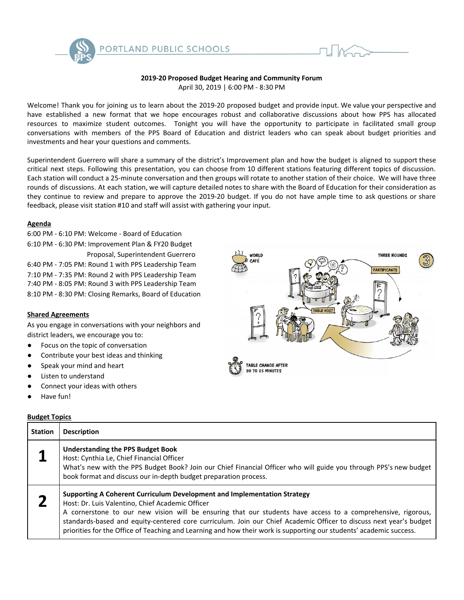

## **2019-20 Proposed Budget Hearing and Community Forum** April 30, 2019 | 6:00 PM - 8:30 PM

Welcome! Thank you for joining us to learn about the 2019-20 proposed budget and provide input. We value your perspective and have established a new format that we hope encourages robust and collaborative discussions about how PPS has allocated resources to maximize student outcomes. Tonight you will have the opportunity to participate in facilitated small group conversations with members of the PPS Board of Education and district leaders who can speak about budget priorities and investments and hear your questions and comments.

Superintendent Guerrero will share a summary of the district's Improvement plan and how the budget is aligned to support these critical next steps. Following this presentation, you can choose from 10 different stations featuring different topics of discussion. Each station will conduct a 25-minute conversation and then groups will rotate to another station of their choice. We will have three rounds of discussions. At each station, we will capture detailed notes to share with the Board of Education for their consideration as they continue to review and prepare to approve the 2019-20 budget. If you do not have ample time to ask questions or share feedback, please visit station #10 and staff will assist with gathering your input.

## **Agenda**

6:00 PM - 6:10 PM: Welcome - Board of Education 6:10 PM - 6:30 PM: Improvement Plan & FY20 Budget Proposal, Superintendent Guerrero 6:40 PM - 7:05 PM: Round 1 with PPS Leadership Team 7:10 PM - 7:35 PM: Round 2 with PPS Leadership Team 7:40 PM - 8:05 PM: Round 3 with PPS Leadership Team 8:10 PM - 8:30 PM: Closing Remarks, Board of Education

## **Shared Agreements**

As you engage in conversations with your neighbors and district leaders, we encourage you to:

- Focus on the topic of conversation
- Contribute your best ideas and thinking
- Speak your mind and heart
- Listen to understand
- Connect your ideas with others
- Have fun!

## **Budget Topics**

| 222<br><b>WORLD</b><br>CAFÉ            | ۵°:               | <b>THREE ROUNDS</b> |
|----------------------------------------|-------------------|---------------------|
|                                        |                   | <b>PARTIPICANTS</b> |
|                                        |                   |                     |
|                                        | <b>TABLE HOST</b> |                     |
|                                        |                   |                     |
|                                        |                   |                     |
|                                        |                   |                     |
| TABLE CHANGE AFTER<br>20 TO 25 MINUTES |                   |                     |

| <b>Station</b> | <b>Description</b>                                                                                                                                                                                                                                                                                                                                                                                                                                                                        |
|----------------|-------------------------------------------------------------------------------------------------------------------------------------------------------------------------------------------------------------------------------------------------------------------------------------------------------------------------------------------------------------------------------------------------------------------------------------------------------------------------------------------|
|                | <b>Understanding the PPS Budget Book</b><br>Host: Cynthia Le, Chief Financial Officer<br>What's new with the PPS Budget Book? Join our Chief Financial Officer who will guide you through PPS's new budget<br>book format and discuss our in-depth budget preparation process.                                                                                                                                                                                                            |
|                | Supporting A Coherent Curriculum Development and Implementation Strategy<br>Host: Dr. Luis Valentino, Chief Academic Officer<br>A cornerstone to our new vision will be ensuring that our students have access to a comprehensive, rigorous,<br>standards-based and equity-centered core curriculum. Join our Chief Academic Officer to discuss next year's budget<br>priorities for the Office of Teaching and Learning and how their work is supporting our students' academic success. |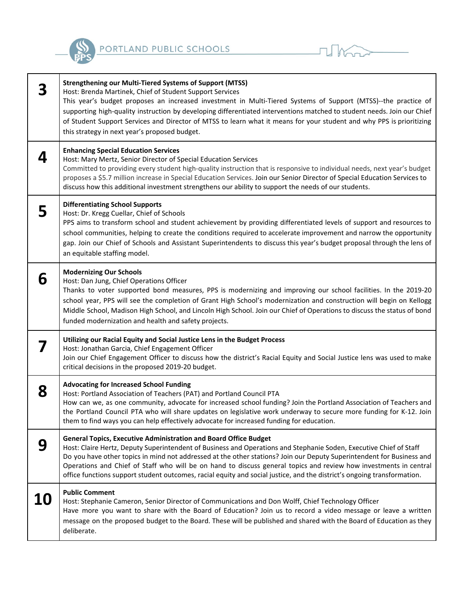



|           | <b>Strengthening our Multi-Tiered Systems of Support (MTSS)</b><br>Host: Brenda Martinek, Chief of Student Support Services<br>This year's budget proposes an increased investment in Multi-Tiered Systems of Support (MTSS)--the practice of<br>supporting high-quality instruction by developing differentiated interventions matched to student needs. Join our Chief<br>of Student Support Services and Director of MTSS to learn what it means for your student and why PPS is prioritizing<br>this strategy in next year's proposed budget.                      |
|-----------|------------------------------------------------------------------------------------------------------------------------------------------------------------------------------------------------------------------------------------------------------------------------------------------------------------------------------------------------------------------------------------------------------------------------------------------------------------------------------------------------------------------------------------------------------------------------|
| 4         | <b>Enhancing Special Education Services</b><br>Host: Mary Mertz, Senior Director of Special Education Services<br>Committed to providing every student high-quality instruction that is responsive to individual needs, next year's budget<br>proposes a \$5.7 million increase in Special Education Services. Join our Senior Director of Special Education Services to<br>discuss how this additional investment strengthens our ability to support the needs of our students.                                                                                       |
| 5         | <b>Differentiating School Supports</b><br>Host: Dr. Kregg Cuellar, Chief of Schools<br>PPS aims to transform school and student achievement by providing differentiated levels of support and resources to<br>school communities, helping to create the conditions required to accelerate improvement and narrow the opportunity<br>gap. Join our Chief of Schools and Assistant Superintendents to discuss this year's budget proposal through the lens of<br>an equitable staffing model.                                                                            |
| 6         | <b>Modernizing Our Schools</b><br>Host: Dan Jung, Chief Operations Officer<br>Thanks to voter supported bond measures, PPS is modernizing and improving our school facilities. In the 2019-20<br>school year, PPS will see the completion of Grant High School's modernization and construction will begin on Kellogg<br>Middle School, Madison High School, and Lincoln High School. Join our Chief of Operations to discuss the status of bond<br>funded modernization and health and safety projects.                                                               |
|           | Utilizing our Racial Equity and Social Justice Lens in the Budget Process<br>Host: Jonathan Garcia, Chief Engagement Officer<br>Join our Chief Engagement Officer to discuss how the district's Racial Equity and Social Justice lens was used to make<br>critical decisions in the proposed 2019-20 budget.                                                                                                                                                                                                                                                           |
| 8         | <b>Advocating for Increased School Funding</b><br>Host: Portland Association of Teachers (PAT) and Portland Council PTA<br>How can we, as one community, advocate for increased school funding? Join the Portland Association of Teachers and<br>the Portland Council PTA who will share updates on legislative work underway to secure more funding for K-12. Join<br>them to find ways you can help effectively advocate for increased funding for education.                                                                                                        |
| 9         | <b>General Topics, Executive Administration and Board Office Budget</b><br>Host: Claire Hertz, Deputy Superintendent of Business and Operations and Stephanie Soden, Executive Chief of Staff<br>Do you have other topics in mind not addressed at the other stations? Join our Deputy Superintendent for Business and<br>Operations and Chief of Staff who will be on hand to discuss general topics and review how investments in central<br>office functions support student outcomes, racial equity and social justice, and the district's ongoing transformation. |
| <b>10</b> | <b>Public Comment</b><br>Host: Stephanie Cameron, Senior Director of Communications and Don Wolff, Chief Technology Officer<br>Have more you want to share with the Board of Education? Join us to record a video message or leave a written<br>message on the proposed budget to the Board. These will be published and shared with the Board of Education as they<br>deliberate.                                                                                                                                                                                     |